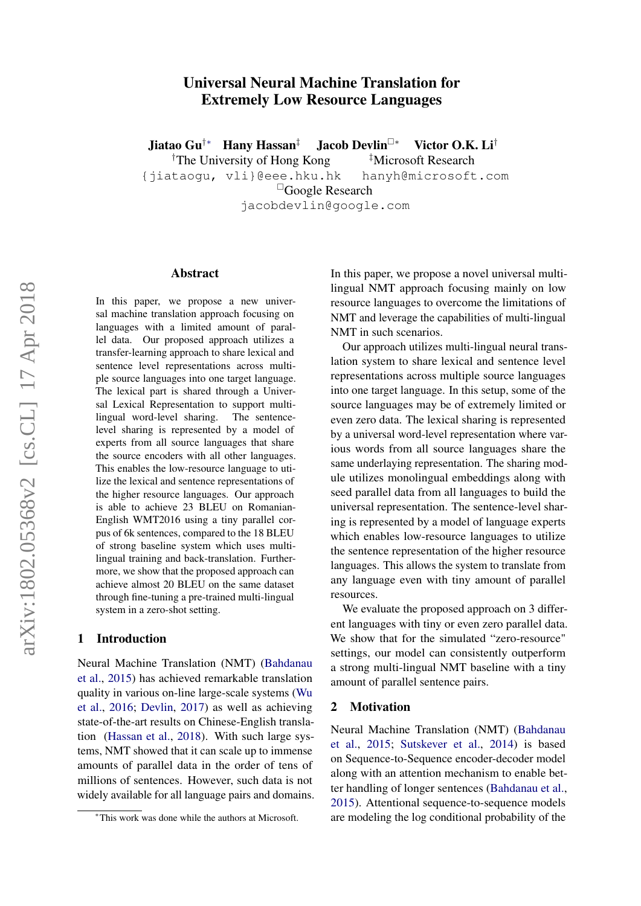# Universal Neural Machine Translation for Extremely Low Resource Languages

<span id="page-0-0"></span>Jiatao Gu†∗ Hany Hassan‡ Jacob Devlin<sup>∗</sup> Victor O.K. Li† <sup>†</sup>The University of Hong Kong  $*$ Microsoft Research {jiataogu, vli}@eee.hku.hk hanyh@microsoft.com Google Research jacobdevlin@google.com

#### Abstract

In this paper, we propose a new universal machine translation approach focusing on languages with a limited amount of parallel data. Our proposed approach utilizes a transfer-learning approach to share lexical and sentence level representations across multiple source languages into one target language. The lexical part is shared through a Universal Lexical Representation to support multilingual word-level sharing. The sentencelevel sharing is represented by a model of experts from all source languages that share the source encoders with all other languages. This enables the low-resource language to utilize the lexical and sentence representations of the higher resource languages. Our approach is able to achieve 23 BLEU on Romanian-English WMT2016 using a tiny parallel corpus of 6k sentences, compared to the 18 BLEU of strong baseline system which uses multilingual training and back-translation. Furthermore, we show that the proposed approach can achieve almost 20 BLEU on the same dataset through fine-tuning a pre-trained multi-lingual system in a zero-shot setting.

### 1 Introduction

Neural Machine Translation (NMT) [\(Bahdanau](#page-9-0) [et al.,](#page-9-0) [2015\)](#page-9-0) has achieved remarkable translation quality in various on-line large-scale systems [\(Wu](#page-10-0) [et al.,](#page-10-0) [2016;](#page-10-0) [Devlin,](#page-9-1) [2017\)](#page-9-1) as well as achieving state-of-the-art results on Chinese-English translation [\(Hassan et al.,](#page-9-2) [2018\)](#page-9-2). With such large systems, NMT showed that it can scale up to immense amounts of parallel data in the order of tens of millions of sentences. However, such data is not widely available for all language pairs and domains. In this paper, we propose a novel universal multilingual NMT approach focusing mainly on low resource languages to overcome the limitations of NMT and leverage the capabilities of multi-lingual NMT in such scenarios.

Our approach utilizes multi-lingual neural translation system to share lexical and sentence level representations across multiple source languages into one target language. In this setup, some of the source languages may be of extremely limited or even zero data. The lexical sharing is represented by a universal word-level representation where various words from all source languages share the same underlaying representation. The sharing module utilizes monolingual embeddings along with seed parallel data from all languages to build the universal representation. The sentence-level sharing is represented by a model of language experts which enables low-resource languages to utilize the sentence representation of the higher resource languages. This allows the system to translate from any language even with tiny amount of parallel resources.

We evaluate the proposed approach on 3 different languages with tiny or even zero parallel data. We show that for the simulated "zero-resource" settings, our model can consistently outperform a strong multi-lingual NMT baseline with a tiny amount of parallel sentence pairs.

### 2 Motivation

Neural Machine Translation (NMT) [\(Bahdanau](#page-9-0) [et al.,](#page-9-0) [2015;](#page-9-0) [Sutskever et al.,](#page-10-1) [2014\)](#page-10-1) is based on Sequence-to-Sequence encoder-decoder model along with an attention mechanism to enable better handling of longer sentences [\(Bahdanau et al.,](#page-9-0) [2015\)](#page-9-0). Attentional sequence-to-sequence models are modeling the log conditional probability of the

<sup>∗</sup>This work was done while the authors at Microsoft.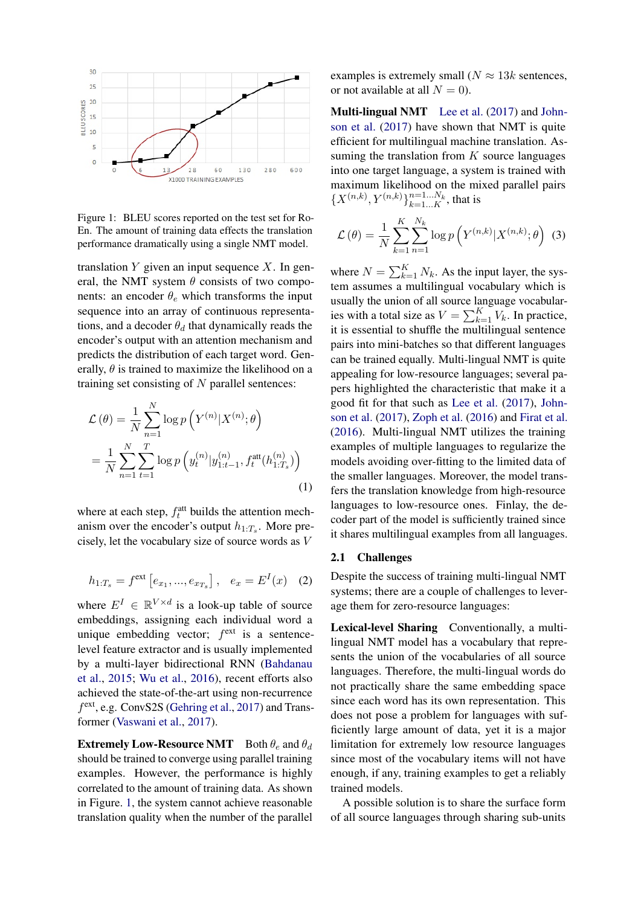

<span id="page-1-0"></span>Figure 1: BLEU scores reported on the test set for Ro-En. The amount of training data effects the translation performance dramatically using a single NMT model.

translation  $Y$  given an input sequence  $X$ . In general, the NMT system  $\theta$  consists of two components: an encoder  $\theta_e$  which transforms the input sequence into an array of continuous representations, and a decoder  $\theta_d$  that dynamically reads the encoder's output with an attention mechanism and predicts the distribution of each target word. Generally,  $\theta$  is trained to maximize the likelihood on a training set consisting of  $N$  parallel sentences:

$$
\mathcal{L}(\theta) = \frac{1}{N} \sum_{n=1}^{N} \log p \left( Y^{(n)} | X^{(n)}; \theta \right)
$$

$$
= \frac{1}{N} \sum_{n=1}^{N} \sum_{t=1}^{T} \log p \left( y_t^{(n)} | y_{1:t-1}^{(n)}, f_t^{\text{att}}(h_{1:T_s}^{(n)}) \right)
$$
(1)

where at each step,  $f_t^{\text{att}}$  builds the attention mechanism over the encoder's output  $h_{1:T_s}$ . More precisely, let the vocabulary size of source words as V

$$
h_{1:T_s} = f^{\text{ext}}\left[e_{x_1},...,e_{x_{T_s}}\right], e_x = E^I(x) \quad (2)
$$

where  $E^I \in \mathbb{R}^{V \times d}$  is a look-up table of source embeddings, assigning each individual word a unique embedding vector;  $f^{\text{ext}}$  is a sentencelevel feature extractor and is usually implemented by a multi-layer bidirectional RNN [\(Bahdanau](#page-9-0) [et al.,](#page-9-0) [2015;](#page-9-0) [Wu et al.,](#page-10-0) [2016\)](#page-10-0), recent efforts also achieved the state-of-the-art using non-recurrence f<sup>ext</sup>, e.g. ConvS2S [\(Gehring et al.,](#page-9-3) [2017\)](#page-9-3) and Transformer [\(Vaswani et al.,](#page-10-2) [2017\)](#page-10-2).

**Extremely Low-Resource NMT** Both  $\theta_e$  and  $\theta_d$ should be trained to converge using parallel training examples. However, the performance is highly correlated to the amount of training data. As shown in Figure. [1,](#page-1-0) the system cannot achieve reasonable translation quality when the number of the parallel examples is extremely small ( $N \approx 13k$  sentences, or not available at all  $N = 0$ ).

Multi-lingual NMT [Lee et al.](#page-9-4) [\(2017\)](#page-9-4) and [John](#page-9-5)[son et al.](#page-9-5) [\(2017\)](#page-9-5) have shown that NMT is quite efficient for multilingual machine translation. Assuming the translation from  $K$  source languages into one target language, a system is trained with maximum likelihood on the mixed parallel pairs  $\{X^{(n,k)}, Y^{(n,k)}\}_{k=1...K}^{n=1...N_k}$ , that is

$$
\mathcal{L}(\theta) = \frac{1}{N} \sum_{k=1}^{K} \sum_{n=1}^{N_k} \log p\left(Y^{(n,k)} | X^{(n,k)}; \theta\right)
$$
(3)

where  $N = \sum_{k=1}^{K} N_k$ . As the input layer, the system assumes a multilingual vocabulary which is usually the union of all source language vocabularies with a total size as  $V = \sum_{k=1}^{K} V_k$ . In practice, it is essential to shuffle the multilingual sentence pairs into mini-batches so that different languages can be trained equally. Multi-lingual NMT is quite appealing for low-resource languages; several papers highlighted the characteristic that make it a good fit for that such as [Lee et al.](#page-9-4) [\(2017\)](#page-9-4), [John](#page-9-5)[son et al.](#page-9-5) [\(2017\)](#page-9-5), [Zoph et al.](#page-10-3) [\(2016\)](#page-10-3) and [Firat et al.](#page-9-6) [\(2016\)](#page-9-6). Multi-lingual NMT utilizes the training examples of multiple languages to regularize the models avoiding over-fitting to the limited data of the smaller languages. Moreover, the model transfers the translation knowledge from high-resource languages to low-resource ones. Finlay, the decoder part of the model is sufficiently trained since it shares multilingual examples from all languages.

#### 2.1 Challenges

Despite the success of training multi-lingual NMT systems; there are a couple of challenges to leverage them for zero-resource languages:

Lexical-level Sharing Conventionally, a multilingual NMT model has a vocabulary that represents the union of the vocabularies of all source languages. Therefore, the multi-lingual words do not practically share the same embedding space since each word has its own representation. This does not pose a problem for languages with sufficiently large amount of data, yet it is a major limitation for extremely low resource languages since most of the vocabulary items will not have enough, if any, training examples to get a reliably trained models.

A possible solution is to share the surface form of all source languages through sharing sub-units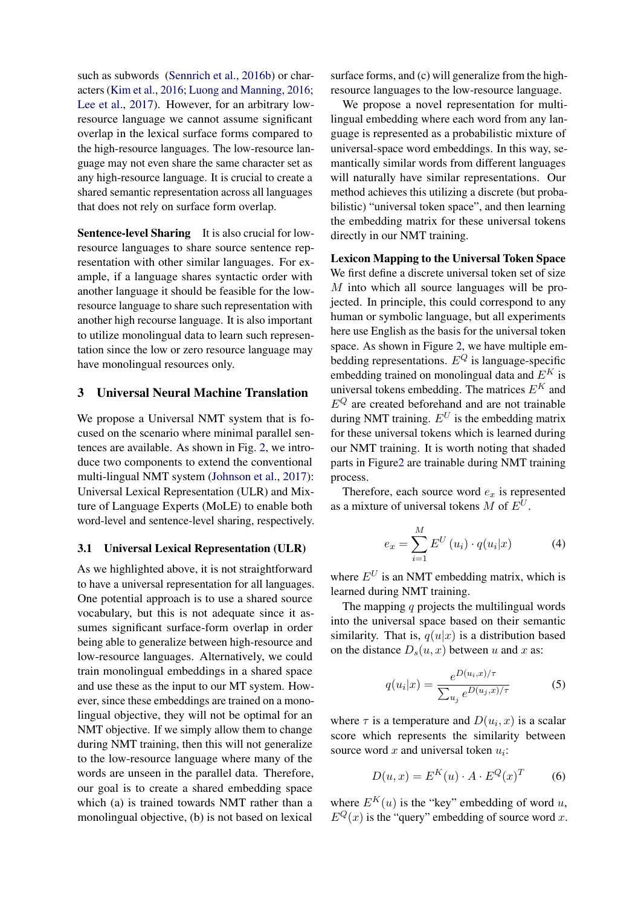such as subwords [\(Sennrich et al.,](#page-9-7) [2016b\)](#page-9-7) or characters [\(Kim et al.,](#page-9-8) [2016;](#page-9-8) [Luong and Manning,](#page-9-9) [2016;](#page-9-9) [Lee et al.,](#page-9-4) [2017\)](#page-9-4). However, for an arbitrary lowresource language we cannot assume significant overlap in the lexical surface forms compared to the high-resource languages. The low-resource language may not even share the same character set as any high-resource language. It is crucial to create a shared semantic representation across all languages that does not rely on surface form overlap.

Sentence-level Sharing It is also crucial for lowresource languages to share source sentence representation with other similar languages. For example, if a language shares syntactic order with another language it should be feasible for the lowresource language to share such representation with another high recourse language. It is also important to utilize monolingual data to learn such representation since the low or zero resource language may have monolingual resources only.

### 3 Universal Neural Machine Translation

We propose a Universal NMT system that is focused on the scenario where minimal parallel sentences are available. As shown in Fig. [2,](#page-3-0) we introduce two components to extend the conventional multi-lingual NMT system [\(Johnson et al.,](#page-9-5) [2017\)](#page-9-5): Universal Lexical Representation (ULR) and Mixture of Language Experts (MoLE) to enable both word-level and sentence-level sharing, respectively.

#### 3.1 Universal Lexical Representation (ULR)

As we highlighted above, it is not straightforward to have a universal representation for all languages. One potential approach is to use a shared source vocabulary, but this is not adequate since it assumes significant surface-form overlap in order being able to generalize between high-resource and low-resource languages. Alternatively, we could train monolingual embeddings in a shared space and use these as the input to our MT system. However, since these embeddings are trained on a monolingual objective, they will not be optimal for an NMT objective. If we simply allow them to change during NMT training, then this will not generalize to the low-resource language where many of the words are unseen in the parallel data. Therefore, our goal is to create a shared embedding space which (a) is trained towards NMT rather than a monolingual objective, (b) is not based on lexical

surface forms, and (c) will generalize from the highresource languages to the low-resource language.

We propose a novel representation for multilingual embedding where each word from any language is represented as a probabilistic mixture of universal-space word embeddings. In this way, semantically similar words from different languages will naturally have similar representations. Our method achieves this utilizing a discrete (but probabilistic) "universal token space", and then learning the embedding matrix for these universal tokens directly in our NMT training.

Lexicon Mapping to the Universal Token Space We first define a discrete universal token set of size M into which all source languages will be projected. In principle, this could correspond to any human or symbolic language, but all experiments here use English as the basis for the universal token space. As shown in Figure [2,](#page-3-0) we have multiple embedding representations.  $E^{Q}$  is language-specific embedding trained on monolingual data and  $E^K$  is universal tokens embedding. The matrices  $E^K$  and  $E^{Q}$  are created beforehand and are not trainable during NMT training.  $E^U$  is the embedding matrix for these universal tokens which is learned during our NMT training. It is worth noting that shaded parts in Figur[e2](#page-3-0) are trainable during NMT training process.

<span id="page-2-1"></span>Therefore, each source word  $e<sub>x</sub>$  is represented as a mixture of universal tokens M of  $E^U$ .

$$
e_x = \sum_{i=1}^{M} E^U(u_i) \cdot q(u_i|x)
$$
 (4)

where  $E^U$  is an NMT embedding matrix, which is learned during NMT training.

The mapping  $q$  projects the multilingual words into the universal space based on their semantic similarity. That is,  $q(u|x)$  is a distribution based on the distance  $D_s(u, x)$  between u and x as:

<span id="page-2-2"></span><span id="page-2-0"></span>
$$
q(u_i|x) = \frac{e^{D(u_i, x)/\tau}}{\sum_{u_j} e^{D(u_j, x)/\tau}}
$$
 (5)

where  $\tau$  is a temperature and  $D(u_i, x)$  is a scalar score which represents the similarity between source word  $x$  and universal token  $u_i$ :

$$
D(u, x) = E^{K}(u) \cdot A \cdot E^{Q}(x)^{T}
$$
 (6)

where  $E^K(u)$  is the "key" embedding of word u,  $E^{Q}(x)$  is the "query" embedding of source word x.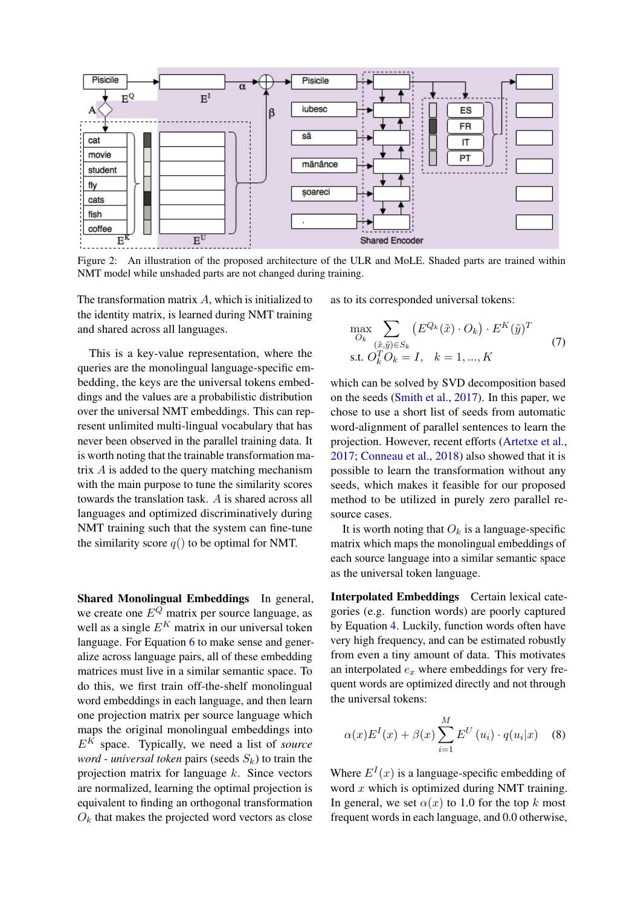

Figure 2: An illustration of the proposed architecture of the ULR and MoLE. Shaded parts are trained within NMT model while unshaded parts are not changed during training.

The transformation matrix  $A$ , which is initialized to the identity matrix, is learned during NMT training and shared across all languages.

This is a key-value representation, where the queries are the monolingual language-specific embedding, the keys are the universal tokens embeddings and the values are a probabilistic distribution over the universal NMT embeddings. This can represent unlimited multi-lingual vocabulary that has never been observed in the parallel training data. It is worth noting that the trainable transformation matrix A is added to the query matching mechanism with the main purpose to tune the similarity scores towards the translation task. A is shared across all languages and optimized discriminatively during NMT training such that the system can fine-tune the similarity score  $q()$  to be optimal for NMT.

Shared Monolingual Embeddings In general, we create one  $E^{Q}$  matrix per source language, as well as a single  $E^{K}$  matrix in our universal token language. For Equation [6](#page-2-0) to make sense and generalize across language pairs, all of these embedding matrices must live in a similar semantic space. To do this, we first train off-the-shelf monolingual word embeddings in each language, and then learn one projection matrix per source language which maps the original monolingual embeddings into  $E^{K}$  space. Typically, we need a list of *source word - universal token pairs (seeds*  $S_k$ ) to train the projection matrix for language  $k$ . Since vectors are normalized, learning the optimal projection is equivalent to finding an orthogonal transformation  $O_k$  that makes the projected word vectors as close as to its corresponded universal tokens:

<span id="page-3-0"></span>
$$
\max_{O_k} \sum_{\substack{(\tilde{x}, \tilde{y}) \in S_k \\ \text{s.t. } O_k^T O_k = I, \quad k = 1, \dots, K}} (E^{Q_k}(\tilde{x}) \cdot O_k) \cdot E^K(\tilde{y})^T
$$
\n(7)

which can be solved by SVD decomposition based on the seeds [\(Smith et al.,](#page-9-10) [2017\)](#page-9-10). In this paper, we chose to use a short list of seeds from automatic word-alignment of parallel sentences to learn the projection. However, recent efforts [\(Artetxe et al.,](#page-9-11) [2017;](#page-9-11) [Conneau et al.,](#page-9-12) [2018\)](#page-9-12) also showed that it is possible to learn the transformation without any seeds, which makes it feasible for our proposed method to be utilized in purely zero parallel resource cases.

It is worth noting that  $O_k$  is a language-specific matrix which maps the monolingual embeddings of each source language into a similar semantic space as the universal token language.

Interpolated Embeddings Certain lexical categories (e.g. function words) are poorly captured by Equation [4.](#page-2-1) Luckily, function words often have very high frequency, and can be estimated robustly from even a tiny amount of data. This motivates an interpolated  $e_x$  where embeddings for very frequent words are optimized directly and not through the universal tokens:

$$
\alpha(x)E^{I}(x) + \beta(x)\sum_{i=1}^{M} E^{U}(u_{i}) \cdot q(u_{i}|x)
$$
 (8)

Where  $E^{I}(x)$  is a language-specific embedding of word  $x$  which is optimized during NMT training. In general, we set  $\alpha(x)$  to 1.0 for the top k most frequent words in each language, and 0.0 otherwise,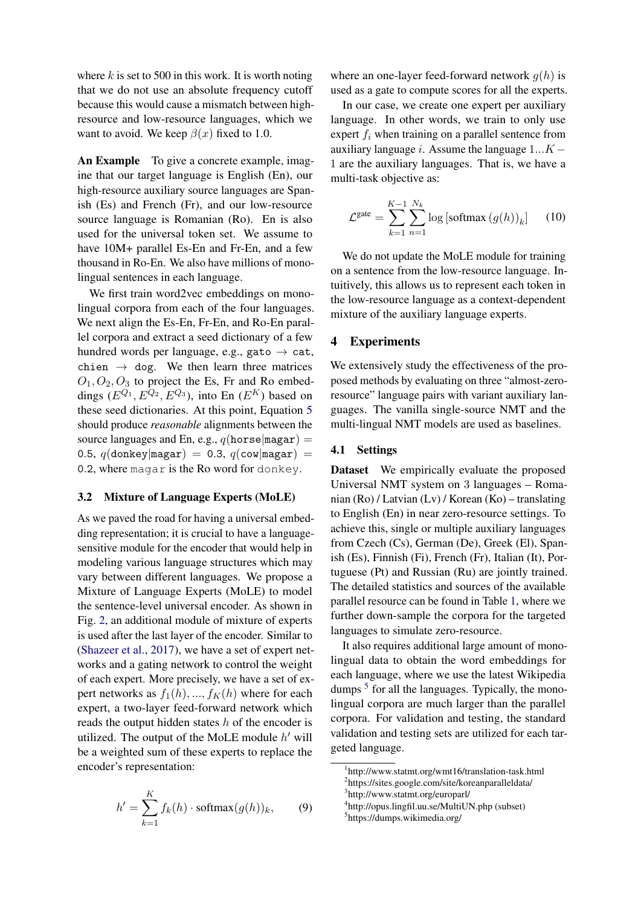where  $k$  is set to 500 in this work. It is worth noting that we do not use an absolute frequency cutoff because this would cause a mismatch between highresource and low-resource languages, which we want to avoid. We keep  $\beta(x)$  fixed to 1.0.

An Example To give a concrete example, imagine that our target language is English (En), our high-resource auxiliary source languages are Spanish (Es) and French (Fr), and our low-resource source language is Romanian (Ro). En is also used for the universal token set. We assume to have  $10M+$  parallel Es-En and Fr-En, and a few thousand in Ro-En. We also have millions of monolingual sentences in each language.

We first train word2vec embeddings on monolingual corpora from each of the four languages. We next align the Es-En, Fr-En, and Ro-En parallel corpora and extract a seed dictionary of a few hundred words per language, e.g., gato  $\rightarrow$  cat, chien  $\rightarrow$  dog. We then learn three matrices  $O_1$ ,  $O_2$ ,  $O_3$  to project the Es, Fr and Ro embeddings  $(E^{Q_1}, E^{Q_2}, E^{Q_3})$ , into En  $(E^K)$  based on these seed dictionaries. At this point, Equation [5](#page-2-2) should produce *reasonable* alignments between the source languages and En, e.g.,  $q(\text{horse}|\text{magar}) =$ 0.5,  $q$ (donkey|magar) = 0.3,  $q$ (cow|magar) = 0.2, where magar is the Ro word for donkey.

### 3.2 Mixture of Language Experts (MoLE)

As we paved the road for having a universal embedding representation; it is crucial to have a languagesensitive module for the encoder that would help in modeling various language structures which may vary between different languages. We propose a Mixture of Language Experts (MoLE) to model the sentence-level universal encoder. As shown in Fig. [2,](#page-3-0) an additional module of mixture of experts is used after the last layer of the encoder. Similar to [\(Shazeer et al.,](#page-9-13) [2017\)](#page-9-13), we have a set of expert networks and a gating network to control the weight of each expert. More precisely, we have a set of expert networks as  $f_1(h), ..., f_K(h)$  where for each expert, a two-layer feed-forward network which reads the output hidden states  $h$  of the encoder is utilized. The output of the MoLE module  $h'$  will be a weighted sum of these experts to replace the encoder's representation:

$$
h' = \sum_{k=1}^{K} f_k(h) \cdot \text{softmax}(g(h))_k, \qquad (9)
$$

where an one-layer feed-forward network  $q(h)$  is used as a gate to compute scores for all the experts.

In our case, we create one expert per auxiliary language. In other words, we train to only use expert  $f_i$  when training on a parallel sentence from auxiliary language *i*. Assume the language  $1...K -$ 1 are the auxiliary languages. That is, we have a multi-task objective as:

$$
\mathcal{L}^{\text{gate}} = \sum_{k=1}^{K-1} \sum_{n=1}^{N_k} \log\left[\text{softmax}\left(g(h)\right)_k\right] \tag{10}
$$

We do not update the MoLE module for training on a sentence from the low-resource language. Intuitively, this allows us to represent each token in the low-resource language as a context-dependent mixture of the auxiliary language experts.

### 4 Experiments

We extensively study the effectiveness of the proposed methods by evaluating on three "almost-zeroresource" language pairs with variant auxiliary languages. The vanilla single-source NMT and the multi-lingual NMT models are used as baselines.

### 4.1 Settings

Dataset We empirically evaluate the proposed Universal NMT system on 3 languages – Romanian (Ro) / Latvian (Lv) / Korean (Ko) – translating to English (En) in near zero-resource settings. To achieve this, single or multiple auxiliary languages from Czech (Cs), German (De), Greek (El), Spanish (Es), Finnish (Fi), French (Fr), Italian (It), Portuguese (Pt) and Russian (Ru) are jointly trained. The detailed statistics and sources of the available parallel resource can be found in Table [1,](#page-5-0) where we further down-sample the corpora for the targeted languages to simulate zero-resource.

It also requires additional large amount of monolingual data to obtain the word embeddings for each language, where we use the latest Wikipedia dumps <sup>[5](#page-4-0)</sup> for all the languages. Typically, the monolingual corpora are much larger than the parallel corpora. For validation and testing, the standard validation and testing sets are utilized for each targeted language.

<span id="page-4-1"></span><sup>1</sup> http://www.statmt.org/wmt16/translation-task.html 2 https://sites.google.com/site/koreanparalleldata/ 3 http://www.statmt.org/europarl/

<span id="page-4-0"></span><sup>4</sup> http://opus.lingfil.uu.se/MultiUN.php (subset) 5 https://dumps.wikimedia.org/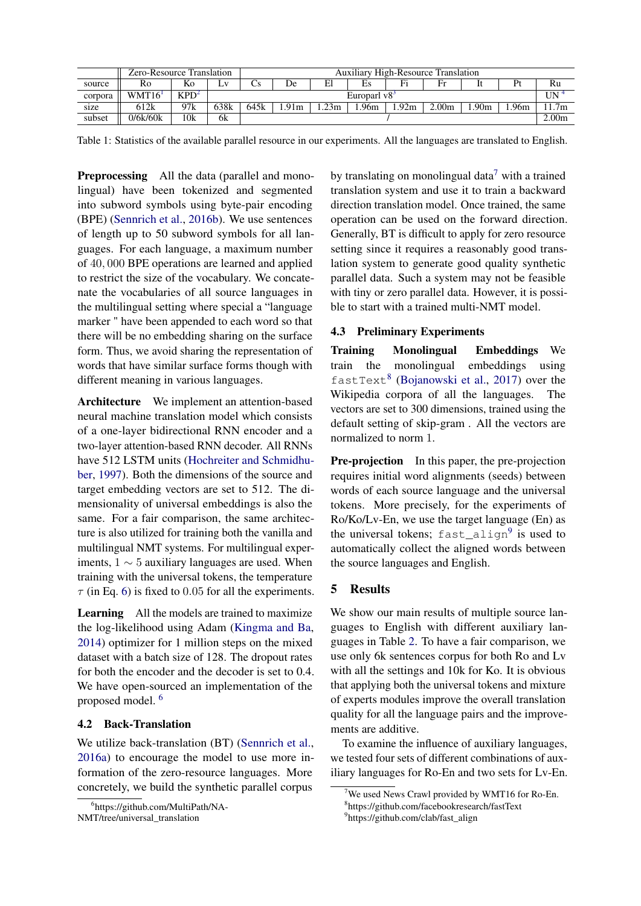|         | Zero-Resource Translation |                  |      | <b>Auxiliary High-Resource Translation</b> |      |      |      |                  |                   |      |      |      |
|---------|---------------------------|------------------|------|--------------------------------------------|------|------|------|------------------|-------------------|------|------|------|
| source  | Ro                        | Ko               | LV.  | US                                         | De   | El   | ЕS   | Fi               |                   |      | Pt   | Ru   |
| corpora | WMT16                     | KPD <sup>2</sup> |      | Europarl v <sup>83</sup>                   |      |      |      |                  | $\text{UN}~^4$    |      |      |      |
| size    | 612k                      | 97k              | 638k | 645k                                       | .91m | .23m | .96m | .92 <sub>m</sub> | 0.00m             | .90m | .96m | 1.7m |
| subset  | 0/6k/60k                  | 10k              | 6k   |                                            |      |      |      |                  | 2.00 <sub>m</sub> |      |      |      |

Table 1: Statistics of the available parallel resource in our experiments. All the languages are translated to English.

Preprocessing All the data (parallel and monolingual) have been tokenized and segmented into subword symbols using byte-pair encoding (BPE) [\(Sennrich et al.,](#page-9-7) [2016b\)](#page-9-7). We use sentences of length up to 50 subword symbols for all languages. For each language, a maximum number of 40, 000 BPE operations are learned and applied to restrict the size of the vocabulary. We concatenate the vocabularies of all source languages in the multilingual setting where special a "language marker " have been appended to each word so that there will be no embedding sharing on the surface form. Thus, we avoid sharing the representation of words that have similar surface forms though with different meaning in various languages.

Architecture We implement an attention-based neural machine translation model which consists of a one-layer bidirectional RNN encoder and a two-layer attention-based RNN decoder. All RNNs have 512 LSTM units [\(Hochreiter and Schmidhu](#page-9-14)[ber,](#page-9-14) [1997\)](#page-9-14). Both the dimensions of the source and target embedding vectors are set to 512. The dimensionality of universal embeddings is also the same. For a fair comparison, the same architecture is also utilized for training both the vanilla and multilingual NMT systems. For multilingual experiments,  $1 \sim 5$  auxiliary languages are used. When training with the universal tokens, the temperature  $\tau$  (in Eq. [6\)](#page-2-0) is fixed to 0.05 for all the experiments.

Learning All the models are trained to maximize the log-likelihood using Adam [\(Kingma and Ba,](#page-9-15) [2014\)](#page-9-15) optimizer for 1 million steps on the mixed dataset with a batch size of 128. The dropout rates for both the encoder and the decoder is set to 0.4. We have open-sourced an implementation of the proposed model. [6](#page-5-1)

# 4.2 Back-Translation

We utilize back-translation (BT) [\(Sennrich et al.,](#page-9-16) [2016a\)](#page-9-16) to encourage the model to use more information of the zero-resource languages. More concretely, we build the synthetic parallel corpus

<span id="page-5-0"></span>by translating on monolingual data<sup>[7](#page-5-2)</sup> with a trained translation system and use it to train a backward direction translation model. Once trained, the same operation can be used on the forward direction. Generally, BT is difficult to apply for zero resource setting since it requires a reasonably good translation system to generate good quality synthetic parallel data. Such a system may not be feasible with tiny or zero parallel data. However, it is possible to start with a trained multi-NMT model.

# 4.3 Preliminary Experiments

Training Monolingual Embeddings We train the monolingual embeddings using fastText<sup>[8](#page-5-3)</sup> [\(Bojanowski et al.,](#page-9-17) [2017\)](#page-9-17) over the Wikipedia corpora of all the languages. The vectors are set to 300 dimensions, trained using the default setting of skip-gram . All the vectors are normalized to norm 1.

**Pre-projection** In this paper, the pre-projection requires initial word alignments (seeds) between words of each source language and the universal tokens. More precisely, for the experiments of Ro/Ko/Lv-En, we use the target language (En) as the universal tokens;  $fast\_align^9$  $fast\_align^9$  is used to automatically collect the aligned words between the source languages and English.

# 5 Results

We show our main results of multiple source languages to English with different auxiliary languages in Table [2.](#page-6-0) To have a fair comparison, we use only 6k sentences corpus for both Ro and Lv with all the settings and 10k for Ko. It is obvious that applying both the universal tokens and mixture of experts modules improve the overall translation quality for all the language pairs and the improvements are additive.

To examine the influence of auxiliary languages, we tested four sets of different combinations of auxiliary languages for Ro-En and two sets for Lv-En.

<span id="page-5-1"></span><sup>6</sup> https://github.com/MultiPath/NA-NMT/tree/universal\_translation

<span id="page-5-2"></span><sup>&</sup>lt;sup>7</sup>We used News Crawl provided by WMT16 for Ro-En.

<span id="page-5-3"></span><sup>8</sup> https://github.com/facebookresearch/fastText

<span id="page-5-4"></span><sup>9</sup> https://github.com/clab/fast\_align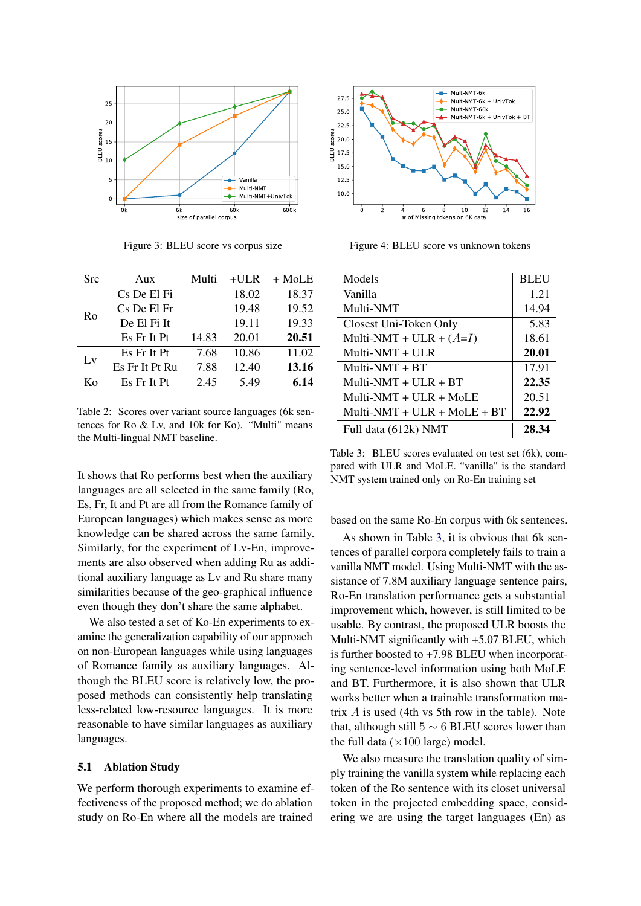

Figure 3: BLEU score vs corpus size

| <b>Src</b> | Aux            | Multi | $+ULR$ | $+$ MoLE |
|------------|----------------|-------|--------|----------|
| Ro         | Cs De El Fi    |       | 18.02  | 18.37    |
|            | Cs De El Fr    |       | 19.48  | 19.52    |
|            | De El Fi It    |       | 19.11  | 19.33    |
|            | Es Fr It Pt    | 14.83 | 20.01  | 20.51    |
| Lv         | Es Fr It Pt    | 7.68  | 10.86  | 11.02    |
|            | Es Fr It Pt Ru | 7.88  | 12.40  | 13.16    |
| Kο         | Es Fr It Pt    | 2.45  | 5.49   | 6.14     |

<span id="page-6-0"></span>Table 2: Scores over variant source languages (6k sentences for Ro & Lv, and 10k for Ko). "Multi" means the Multi-lingual NMT baseline.

It shows that Ro performs best when the auxiliary languages are all selected in the same family (Ro, Es, Fr, It and Pt are all from the Romance family of European languages) which makes sense as more knowledge can be shared across the same family. Similarly, for the experiment of Lv-En, improvements are also observed when adding Ru as additional auxiliary language as Lv and Ru share many similarities because of the geo-graphical influence even though they don't share the same alphabet.

We also tested a set of Ko-En experiments to examine the generalization capability of our approach on non-European languages while using languages of Romance family as auxiliary languages. Although the BLEU score is relatively low, the proposed methods can consistently help translating less-related low-resource languages. It is more reasonable to have similar languages as auxiliary languages.

### 5.1 Ablation Study

We perform thorough experiments to examine effectiveness of the proposed method; we do ablation study on Ro-En where all the models are trained



<span id="page-6-3"></span><span id="page-6-2"></span>Figure 4: BLEU score vs unknown tokens

<span id="page-6-1"></span>

| Models                        | <b>BLEU</b> |
|-------------------------------|-------------|
| Vanilla                       | 1.21        |
| Multi-NMT                     | 14.94       |
| Closest Uni-Token Only        | 5.83        |
| Multi-NMT + ULR + $(A=I)$     | 18.61       |
| Multi-NMT $+$ ULR             | 20.01       |
| $Multi-NMT + BT$              | 17.91       |
| Multi-NMT + ULR + $BT$        | 22.35       |
| Multi-NMT + $ULR + MOLE$      | 20.51       |
| Multi-NMT + ULR + MoLE + $BT$ | 22.92       |
| Full data (612k) NMT          | 28.34       |

Table 3: BLEU scores evaluated on test set (6k), compared with ULR and MoLE. "vanilla" is the standard NMT system trained only on Ro-En training set

based on the same Ro-En corpus with 6k sentences.

As shown in Table [3,](#page-6-1) it is obvious that 6k sentences of parallel corpora completely fails to train a vanilla NMT model. Using Multi-NMT with the assistance of 7.8M auxiliary language sentence pairs, Ro-En translation performance gets a substantial improvement which, however, is still limited to be usable. By contrast, the proposed ULR boosts the Multi-NMT significantly with +5.07 BLEU, which is further boosted to +7.98 BLEU when incorporating sentence-level information using both MoLE and BT. Furthermore, it is also shown that ULR works better when a trainable transformation matrix  $\vec{A}$  is used (4th vs 5th row in the table). Note that, although still  $5 \sim 6$  BLEU scores lower than the full data ( $\times$ 100 large) model.

We also measure the translation quality of simply training the vanilla system while replacing each token of the Ro sentence with its closet universal token in the projected embedding space, considering we are using the target languages (En) as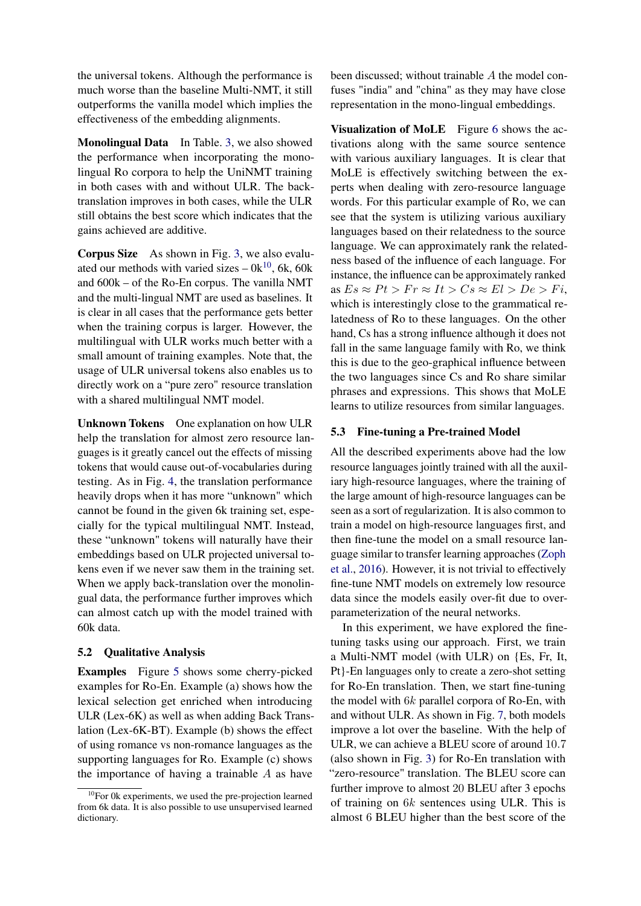the universal tokens. Although the performance is much worse than the baseline Multi-NMT, it still outperforms the vanilla model which implies the effectiveness of the embedding alignments.

Monolingual Data In Table. [3,](#page-6-1) we also showed the performance when incorporating the monolingual Ro corpora to help the UniNMT training in both cases with and without ULR. The backtranslation improves in both cases, while the ULR still obtains the best score which indicates that the gains achieved are additive.

Corpus Size As shown in Fig. [3,](#page-6-2) we also evaluated our methods with varied sizes  $-0k^{10}$  $-0k^{10}$  $-0k^{10}$ , 6k, 60k and 600k – of the Ro-En corpus. The vanilla NMT and the multi-lingual NMT are used as baselines. It is clear in all cases that the performance gets better when the training corpus is larger. However, the multilingual with ULR works much better with a small amount of training examples. Note that, the usage of ULR universal tokens also enables us to directly work on a "pure zero" resource translation with a shared multilingual NMT model.

Unknown Tokens One explanation on how ULR help the translation for almost zero resource languages is it greatly cancel out the effects of missing tokens that would cause out-of-vocabularies during testing. As in Fig. [4,](#page-6-3) the translation performance heavily drops when it has more "unknown" which cannot be found in the given 6k training set, especially for the typical multilingual NMT. Instead, these "unknown" tokens will naturally have their embeddings based on ULR projected universal tokens even if we never saw them in the training set. When we apply back-translation over the monolingual data, the performance further improves which can almost catch up with the model trained with 60k data.

### 5.2 Qualitative Analysis

Examples Figure [5](#page-8-0) shows some cherry-picked examples for Ro-En. Example (a) shows how the lexical selection get enriched when introducing ULR (Lex-6K) as well as when adding Back Translation (Lex-6K-BT). Example (b) shows the effect of using romance vs non-romance languages as the supporting languages for Ro. Example (c) shows the importance of having a trainable  $A$  as have been discussed; without trainable A the model confuses "india" and "china" as they may have close representation in the mono-lingual embeddings.

Visualization of MoLE Figure [6](#page-8-1) shows the activations along with the same source sentence with various auxiliary languages. It is clear that MoLE is effectively switching between the experts when dealing with zero-resource language words. For this particular example of Ro, we can see that the system is utilizing various auxiliary languages based on their relatedness to the source language. We can approximately rank the relatedness based of the influence of each language. For instance, the influence can be approximately ranked as  $Es \approx Pt > Fr \approx It > Cs \approx El > De > Fi$ , which is interestingly close to the grammatical relatedness of Ro to these languages. On the other hand, Cs has a strong influence although it does not fall in the same language family with Ro, we think this is due to the geo-graphical influence between the two languages since Cs and Ro share similar phrases and expressions. This shows that MoLE learns to utilize resources from similar languages.

### 5.3 Fine-tuning a Pre-trained Model

All the described experiments above had the low resource languages jointly trained with all the auxiliary high-resource languages, where the training of the large amount of high-resource languages can be seen as a sort of regularization. It is also common to train a model on high-resource languages first, and then fine-tune the model on a small resource language similar to transfer learning approaches [\(Zoph](#page-10-3) [et al.,](#page-10-3) [2016\)](#page-10-3). However, it is not trivial to effectively fine-tune NMT models on extremely low resource data since the models easily over-fit due to overparameterization of the neural networks.

In this experiment, we have explored the finetuning tasks using our approach. First, we train a Multi-NMT model (with ULR) on {Es, Fr, It, Pt}-En languages only to create a zero-shot setting for Ro-En translation. Then, we start fine-tuning the model with 6k parallel corpora of Ro-En, with and without ULR. As shown in Fig. [7,](#page-8-2) both models improve a lot over the baseline. With the help of ULR, we can achieve a BLEU score of around 10.7 (also shown in Fig. [3\)](#page-6-2) for Ro-En translation with "zero-resource" translation. The BLEU score can further improve to almost 20 BLEU after 3 epochs of training on 6k sentences using ULR. This is almost 6 BLEU higher than the best score of the

<span id="page-7-0"></span> $10$ For 0k experiments, we used the pre-projection learned from 6k data. It is also possible to use unsupervised learned dictionary.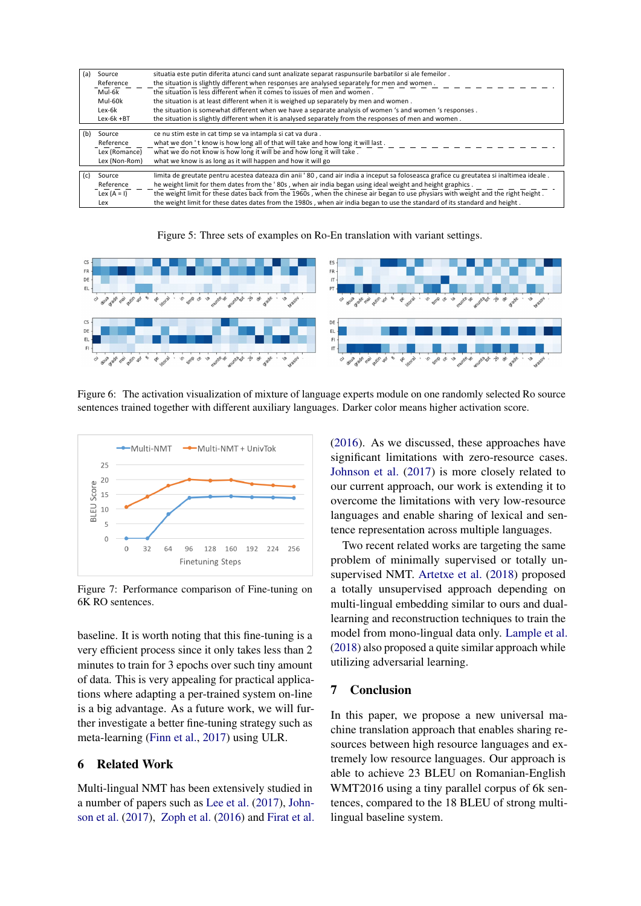| (a) | Source                                                                                            | situatia este putin diferita atunci cand sunt analizate separat raspunsurile barbatilor si ale femeilor.                                 |  |  |  |  |  |
|-----|---------------------------------------------------------------------------------------------------|------------------------------------------------------------------------------------------------------------------------------------------|--|--|--|--|--|
|     | Reference                                                                                         | the situation is slightly different when responses are analysed separately for men and women.                                            |  |  |  |  |  |
|     | Mul-6k                                                                                            | the situation is less different when it comes to issues of men and women.                                                                |  |  |  |  |  |
|     | Mul-60k<br>the situation is at least different when it is weighed up separately by men and women. |                                                                                                                                          |  |  |  |  |  |
|     | Lex-6k                                                                                            | the situation is somewhat different when we have a separate analysis of women 's and women 's responses.                                 |  |  |  |  |  |
|     | $Lex-6k + BT$                                                                                     | the situation is slightly different when it is analysed separately from the responses of men and women.                                  |  |  |  |  |  |
|     |                                                                                                   |                                                                                                                                          |  |  |  |  |  |
| (b) | Source                                                                                            | ce nu stim este in cat timp se va intampla si cat va dura.                                                                               |  |  |  |  |  |
|     | Reference                                                                                         | what we don't know is how long all of that will take and how long it will last.                                                          |  |  |  |  |  |
|     | Lex (Romance)                                                                                     | what we do not know is how long it will be and how long it will take.                                                                    |  |  |  |  |  |
|     | Lex (Non-Rom)                                                                                     | what we know is as long as it will happen and how it will go                                                                             |  |  |  |  |  |
| (c) | Source                                                                                            | limita de greutate pentru acestea dateaza din anii '80, cand air india a inceput sa foloseasca grafice cu greutatea si inaltimea ideale. |  |  |  |  |  |
|     |                                                                                                   |                                                                                                                                          |  |  |  |  |  |
|     | Reference                                                                                         | he weight limit for them dates from the '80s, when air india began using ideal weight and height graphics.                               |  |  |  |  |  |
|     | Lex $(A = I)$                                                                                     | the weight limit for these dates back from the 1960s, when the chinese air began to use physiars with weight and the right height.       |  |  |  |  |  |
|     | Lex                                                                                               | the weight limit for these dates dates from the 1980s, when air india began to use the standard of its standard and height.              |  |  |  |  |  |

<span id="page-8-0"></span>



Figure 6: The activation visualization of mixture of language experts module on one randomly selected Ro source sentences trained together with different auxiliary languages. Darker color means higher activation score.



<span id="page-8-2"></span>Figure 7: Performance comparison of Fine-tuning on 6K RO sentences.

baseline. It is worth noting that this fine-tuning is a very efficient process since it only takes less than 2 minutes to train for 3 epochs over such tiny amount of data. This is very appealing for practical applications where adapting a per-trained system on-line is a big advantage. As a future work, we will further investigate a better fine-tuning strategy such as meta-learning [\(Finn et al.,](#page-9-18) [2017\)](#page-9-18) using ULR.

# 6 Related Work

Multi-lingual NMT has been extensively studied in a number of papers such as [Lee et al.](#page-9-4) [\(2017\)](#page-9-4), [John](#page-9-5)[son et al.](#page-9-5) [\(2017\)](#page-9-5), [Zoph et al.](#page-10-3) [\(2016\)](#page-10-3) and [Firat et al.](#page-9-6) <span id="page-8-1"></span>[\(2016\)](#page-9-6). As we discussed, these approaches have significant limitations with zero-resource cases. [Johnson et al.](#page-9-5) [\(2017\)](#page-9-5) is more closely related to our current approach, our work is extending it to overcome the limitations with very low-resource languages and enable sharing of lexical and sentence representation across multiple languages.

Two recent related works are targeting the same problem of minimally supervised or totally unsupervised NMT. [Artetxe et al.](#page-9-19) [\(2018\)](#page-9-19) proposed a totally unsupervised approach depending on multi-lingual embedding similar to ours and duallearning and reconstruction techniques to train the model from mono-lingual data only. [Lample et al.](#page-9-20) [\(2018\)](#page-9-20) also proposed a quite similar approach while utilizing adversarial learning.

# 7 Conclusion

In this paper, we propose a new universal machine translation approach that enables sharing resources between high resource languages and extremely low resource languages. Our approach is able to achieve 23 BLEU on Romanian-English WMT2016 using a tiny parallel corpus of 6k sentences, compared to the 18 BLEU of strong multilingual baseline system.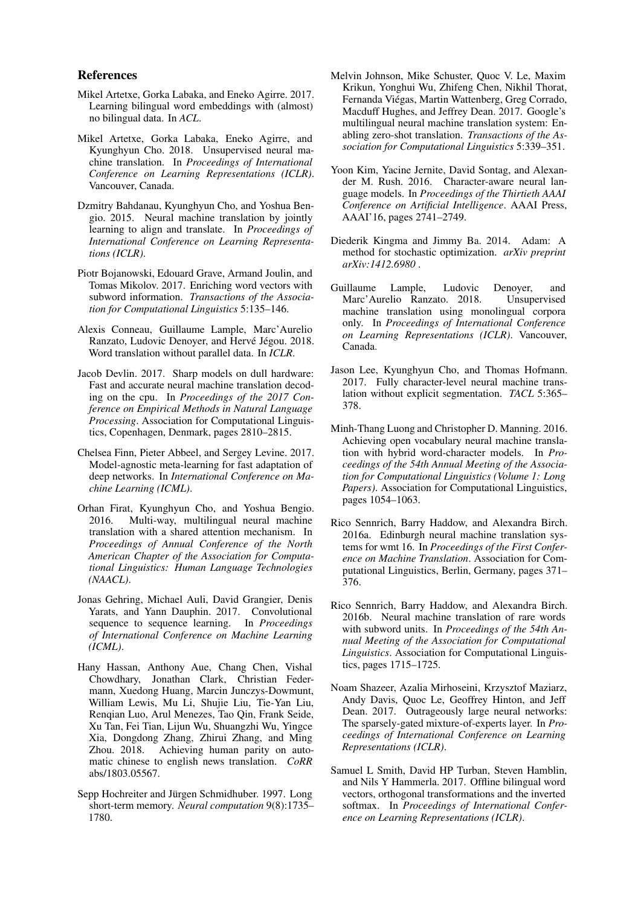### References

- <span id="page-9-11"></span>Mikel Artetxe, Gorka Labaka, and Eneko Agirre. 2017. Learning bilingual word embeddings with (almost) no bilingual data. In *ACL*.
- <span id="page-9-19"></span>Mikel Artetxe, Gorka Labaka, Eneko Agirre, and Kyunghyun Cho. 2018. Unsupervised neural machine translation. In *Proceedings of International Conference on Learning Representations (ICLR)*. Vancouver, Canada.
- <span id="page-9-0"></span>Dzmitry Bahdanau, Kyunghyun Cho, and Yoshua Bengio. 2015. Neural machine translation by jointly learning to align and translate. In *Proceedings of International Conference on Learning Representations (ICLR)*.
- <span id="page-9-17"></span>Piotr Bojanowski, Edouard Grave, Armand Joulin, and Tomas Mikolov. 2017. Enriching word vectors with subword information. *Transactions of the Association for Computational Linguistics* 5:135–146.
- <span id="page-9-12"></span>Alexis Conneau, Guillaume Lample, Marc'Aurelio Ranzato, Ludovic Denoyer, and Hervé Jégou. 2018. Word translation without parallel data. In *ICLR*.
- <span id="page-9-1"></span>Jacob Devlin. 2017. Sharp models on dull hardware: Fast and accurate neural machine translation decoding on the cpu. In *Proceedings of the 2017 Conference on Empirical Methods in Natural Language Processing*. Association for Computational Linguistics, Copenhagen, Denmark, pages 2810–2815.
- <span id="page-9-18"></span>Chelsea Finn, Pieter Abbeel, and Sergey Levine. 2017. Model-agnostic meta-learning for fast adaptation of deep networks. In *International Conference on Machine Learning (ICML)*.
- <span id="page-9-6"></span>Orhan Firat, Kyunghyun Cho, and Yoshua Bengio. 2016. Multi-way, multilingual neural machine translation with a shared attention mechanism. In *Proceedings of Annual Conference of the North American Chapter of the Association for Computational Linguistics: Human Language Technologies (NAACL)*.
- <span id="page-9-3"></span>Jonas Gehring, Michael Auli, David Grangier, Denis Yarats, and Yann Dauphin. 2017. Convolutional sequence to sequence learning. In *Proceedings of International Conference on Machine Learning (ICML)*.
- <span id="page-9-2"></span>Hany Hassan, Anthony Aue, Chang Chen, Vishal Chowdhary, Jonathan Clark, Christian Federmann, Xuedong Huang, Marcin Junczys-Dowmunt, William Lewis, Mu Li, Shujie Liu, Tie-Yan Liu, Renqian Luo, Arul Menezes, Tao Qin, Frank Seide, Xu Tan, Fei Tian, Lijun Wu, Shuangzhi Wu, Yingce Xia, Dongdong Zhang, Zhirui Zhang, and Ming Zhou. 2018. Achieving human parity on automatic chinese to english news translation. *CoRR* abs/1803.05567.
- <span id="page-9-14"></span>Sepp Hochreiter and Jürgen Schmidhuber. 1997. Long short-term memory. *Neural computation* 9(8):1735– 1780.
- <span id="page-9-5"></span>Melvin Johnson, Mike Schuster, Quoc V. Le, Maxim Krikun, Yonghui Wu, Zhifeng Chen, Nikhil Thorat, Fernanda Viégas, Martin Wattenberg, Greg Corrado, Macduff Hughes, and Jeffrey Dean. 2017. Google's multilingual neural machine translation system: Enabling zero-shot translation. *Transactions of the Association for Computational Linguistics* 5:339–351.
- <span id="page-9-8"></span>Yoon Kim, Yacine Jernite, David Sontag, and Alexander M. Rush. 2016. Character-aware neural language models. In *Proceedings of the Thirtieth AAAI Conference on Artificial Intelligence*. AAAI Press, AAAI'16, pages 2741–2749.
- <span id="page-9-15"></span>Diederik Kingma and Jimmy Ba. 2014. Adam: A method for stochastic optimization. *arXiv preprint arXiv:1412.6980* .
- <span id="page-9-20"></span>Guillaume Lample, Ludovic Denoyer, and Marc'Aurelio Ranzato. 2018. Unsupervised machine translation using monolingual corpora only. In *Proceedings of International Conference on Learning Representations (ICLR)*. Vancouver, Canada.
- <span id="page-9-4"></span>Jason Lee, Kyunghyun Cho, and Thomas Hofmann. 2017. Fully character-level neural machine translation without explicit segmentation. *TACL* 5:365– 378.
- <span id="page-9-9"></span>Minh-Thang Luong and Christopher D. Manning. 2016. Achieving open vocabulary neural machine translation with hybrid word-character models. In *Proceedings of the 54th Annual Meeting of the Association for Computational Linguistics (Volume 1: Long Papers)*. Association for Computational Linguistics, pages 1054–1063.
- <span id="page-9-16"></span>Rico Sennrich, Barry Haddow, and Alexandra Birch. 2016a. Edinburgh neural machine translation systems for wmt 16. In *Proceedings of the First Conference on Machine Translation*. Association for Computational Linguistics, Berlin, Germany, pages 371– 376.
- <span id="page-9-7"></span>Rico Sennrich, Barry Haddow, and Alexandra Birch. 2016b. Neural machine translation of rare words with subword units. In *Proceedings of the 54th Annual Meeting of the Association for Computational Linguistics*. Association for Computational Linguistics, pages 1715–1725.
- <span id="page-9-13"></span>Noam Shazeer, Azalia Mirhoseini, Krzysztof Maziarz, Andy Davis, Quoc Le, Geoffrey Hinton, and Jeff Dean. 2017. Outrageously large neural networks: The sparsely-gated mixture-of-experts layer. In *Proceedings of International Conference on Learning Representations (ICLR)*.
- <span id="page-9-10"></span>Samuel L Smith, David HP Turban, Steven Hamblin, and Nils Y Hammerla. 2017. Offline bilingual word vectors, orthogonal transformations and the inverted softmax. In *Proceedings of International Conference on Learning Representations (ICLR)*.